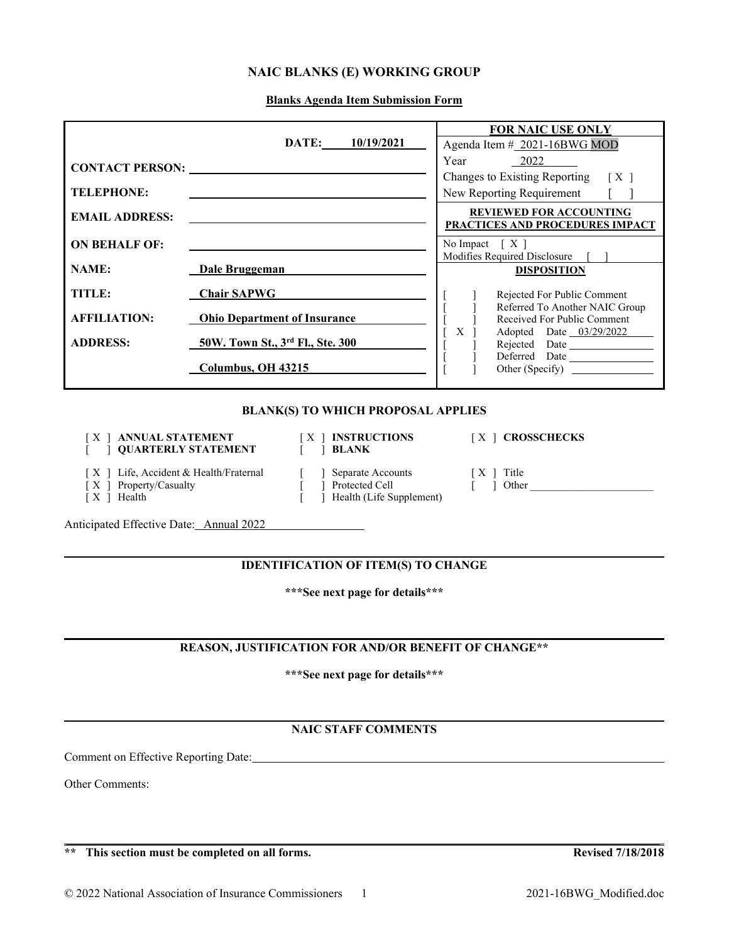# **NAIC BLANKS (E) WORKING GROUP**

**Blanks Agenda Item Submission Form**

|                                                                                                  |                                                                            |                  |                                                                 | <b>FOR NAIC USE ONLY</b>                                          |
|--------------------------------------------------------------------------------------------------|----------------------------------------------------------------------------|------------------|-----------------------------------------------------------------|-------------------------------------------------------------------|
|                                                                                                  |                                                                            |                  | DATE: 10/19/2021                                                | Agenda Item # 2021-16BWG MOD                                      |
| <b>CONTACT PERSON:</b>                                                                           |                                                                            |                  |                                                                 | 2022<br>Year                                                      |
|                                                                                                  |                                                                            |                  |                                                                 | <b>Changes to Existing Reporting</b><br>[X]                       |
| <b>TELEPHONE:</b>                                                                                |                                                                            |                  |                                                                 | New Reporting Requirement                                         |
| <b>EMAIL ADDRESS:</b>                                                                            |                                                                            |                  |                                                                 | <b>REVIEWED FOR ACCOUNTING</b><br>PRACTICES AND PROCEDURES IMPACT |
| <b>ON BEHALF OF:</b>                                                                             | the control of the control of the control of the control of the control of |                  |                                                                 | No Impact $[X]$                                                   |
| <b>NAME:</b>                                                                                     | Dale Bruggeman                                                             |                  |                                                                 | Modifies Required Disclosure                                      |
|                                                                                                  |                                                                            |                  |                                                                 | <b>DISPOSITION</b>                                                |
| TITLE:                                                                                           | <b>Chair SAPWG</b>                                                         |                  |                                                                 | Rejected For Public Comment                                       |
| <b>AFFILIATION:</b>                                                                              | <b>Ohio Department of Insurance</b>                                        |                  |                                                                 | Referred To Another NAIC Group<br>Received For Public Comment     |
|                                                                                                  |                                                                            |                  |                                                                 | Adopted Date 03/29/2022<br>X                                      |
| <b>ADDRESS:</b>                                                                                  | 50W. Town St., 3rd Fl., Ste. 300                                           |                  |                                                                 | Rejected Date                                                     |
|                                                                                                  | Columbus, OH 43215                                                         |                  |                                                                 | Deferred Date                                                     |
|                                                                                                  |                                                                            |                  |                                                                 | Other (Specify)                                                   |
| <b>BLANK(S) TO WHICH PROPOSAL APPLIES</b>                                                        |                                                                            |                  |                                                                 |                                                                   |
| <b>ANNUAL STATEMENT</b><br>$[X]$ INSTRUCTIONS<br>X<br><b>QUARTERLY STATEMENT</b><br><b>BLANK</b> |                                                                            | [X ] CROSSCHECKS |                                                                 |                                                                   |
| [X ] Life, Accident & Health/Fraternal<br>Property/Casualty<br>ſХ<br>Health<br>IX 1              |                                                                            |                  | Separate Accounts<br>Protected Cell<br>Health (Life Supplement) | [X ] Title<br>Other                                               |

Anticipated Effective Date: Annual 2022

# **IDENTIFICATION OF ITEM(S) TO CHANGE**

**\*\*\*See next page for details\*\*\***

### **REASON, JUSTIFICATION FOR AND/OR BENEFIT OF CHANGE\*\***

**\*\*\*See next page for details\*\*\***

# **NAIC STAFF COMMENTS**

\_\_\_\_\_\_\_\_\_\_\_\_\_\_\_\_\_\_\_\_\_\_\_\_\_\_\_\_\_\_\_\_\_\_\_\_\_\_\_\_\_\_\_\_\_\_\_\_\_\_\_\_\_\_\_\_\_\_\_\_\_\_\_\_\_\_\_\_\_\_\_\_\_\_\_\_\_\_\_\_\_\_\_\_\_\_\_\_\_\_\_\_\_\_\_\_\_\_\_

Comment on Effective Reporting Date:

Other Comments:

**\*\* This section must be completed on all forms. Revised 7/18/2018**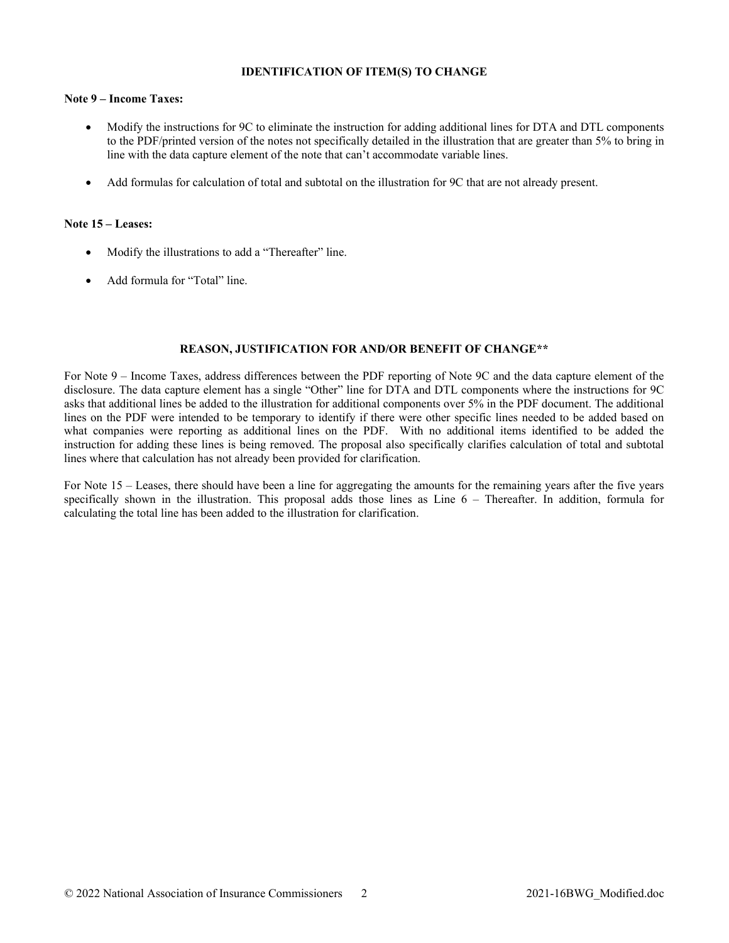#### **IDENTIFICATION OF ITEM(S) TO CHANGE**

#### **Note 9 – Income Taxes:**

- Modify the instructions for 9C to eliminate the instruction for adding additional lines for DTA and DTL components to the PDF/printed version of the notes not specifically detailed in the illustration that are greater than 5% to bring in line with the data capture element of the note that can't accommodate variable lines.
- Add formulas for calculation of total and subtotal on the illustration for 9C that are not already present.

#### **Note 15 – Leases:**

- Modify the illustrations to add a "Thereafter" line.
- Add formula for "Total" line.

#### **REASON, JUSTIFICATION FOR AND/OR BENEFIT OF CHANGE\*\***

For Note 9 – Income Taxes, address differences between the PDF reporting of Note 9C and the data capture element of the disclosure. The data capture element has a single "Other" line for DTA and DTL components where the instructions for 9C asks that additional lines be added to the illustration for additional components over 5% in the PDF document. The additional lines on the PDF were intended to be temporary to identify if there were other specific lines needed to be added based on what companies were reporting as additional lines on the PDF. With no additional items identified to be added the instruction for adding these lines is being removed. The proposal also specifically clarifies calculation of total and subtotal lines where that calculation has not already been provided for clarification.

For Note 15 – Leases, there should have been a line for aggregating the amounts for the remaining years after the five years specifically shown in the illustration. This proposal adds those lines as Line  $6 -$  Thereafter. In addition, formula for calculating the total line has been added to the illustration for clarification.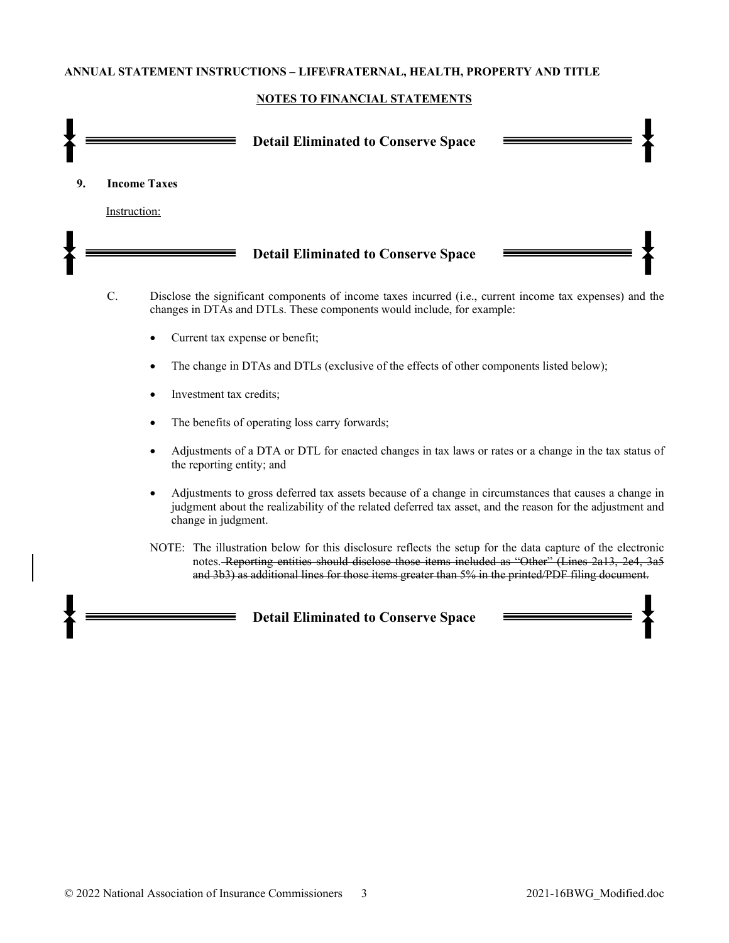#### **ANNUAL STATEMENT INSTRUCTIONS – LIFE\FRATERNAL, HEALTH, PROPERTY AND TITLE**

#### **NOTES TO FINANCIAL STATEMENTS**



- The benefits of operating loss carry forwards;
- Adjustments of a DTA or DTL for enacted changes in tax laws or rates or a change in the tax status of the reporting entity; and
- Adjustments to gross deferred tax assets because of a change in circumstances that causes a change in judgment about the realizability of the related deferred tax asset, and the reason for the adjustment and change in judgment.
- NOTE: The illustration below for this disclosure reflects the setup for the data capture of the electronic notes. Reporting entities should disclose those items included as "Other" (Lines 2a13, 2e4, 3a5 and 3b3) as additional lines for those items greater than 5% in the printed/PDF filing document.

**Detail Eliminated to Conserve Space**

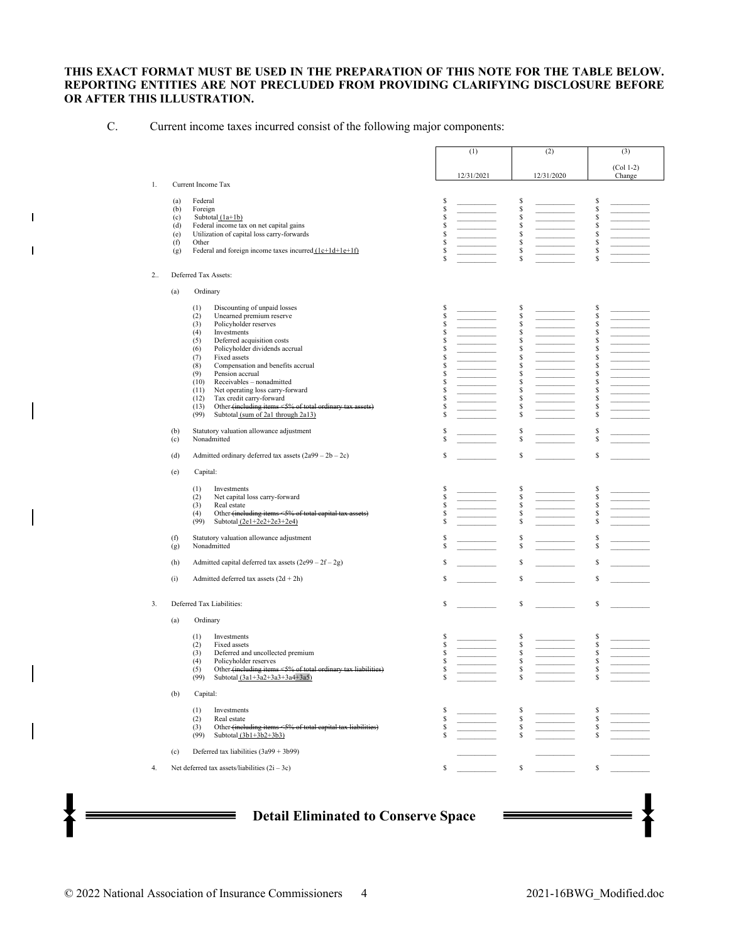#### **THIS EXACT FORMAT MUST BE USED IN THE PREPARATION OF THIS NOTE FOR THE TABLE BELOW. REPORTING ENTITIES ARE NOT PRECLUDED FROM PROVIDING CLARIFYING DISCLOSURE BEFORE OR AFTER THIS ILLUSTRATION.**

C. Current income taxes incurred consist of the following major components:

 $\mathbf{I}$ 

 $\overline{1}$ 

|    |                                                                                                                | (1)                                                                                                                                            | (2)                | (3)                                                                                                                                            |
|----|----------------------------------------------------------------------------------------------------------------|------------------------------------------------------------------------------------------------------------------------------------------------|--------------------|------------------------------------------------------------------------------------------------------------------------------------------------|
|    |                                                                                                                | 12/31/2021                                                                                                                                     | 12/31/2020         | $(Col 1-2)$<br>Change                                                                                                                          |
| 1. | Current Income Tax                                                                                             |                                                                                                                                                |                    |                                                                                                                                                |
|    | Federal<br>(a)                                                                                                 | S                                                                                                                                              | \$                 | \$                                                                                                                                             |
|    | (b)<br>Foreign<br>Subtotal (1a+1b)<br>(c)                                                                      | $\mathbb{S}% _{t}\left( t\right) \equiv\mathbb{S}_{t}\left( t\right)$<br>$\mathbb{S}$                                                          | \$<br>\$           | $\mathbb{S}$<br>S                                                                                                                              |
|    | Federal income tax on net capital gains<br>(d)                                                                 | $\mathbb{S}$                                                                                                                                   | \$                 | $\mathbb{S}$                                                                                                                                   |
|    | (e)<br>Utilization of capital loss carry-forwards                                                              | $\mathbb{S}% _{t}\left( t\right) \equiv\mathbb{S}_{t}\left( t\right)$                                                                          | \$                 | $\mathbb{S}$                                                                                                                                   |
|    | (f)<br>Other<br>(g)<br>Federal and foreign income taxes incurred $(1c+1d+1e+1f)$                               | $\mathbb{S}$<br>$\mathbb{S}% _{t}\left( t\right) \equiv\mathbb{S}_{t}\left( t\right)$                                                          | \$<br>\$           | $\mathbb{S}% _{t}\left( t\right) \equiv\mathbb{S}_{t}\left( t\right)$<br>$\mathbb{S}% _{t}\left( t\right) \equiv\mathbb{S}_{t}\left( t\right)$ |
|    |                                                                                                                | $\mathbb S$                                                                                                                                    | \$                 | \$                                                                                                                                             |
| 2  | Deferred Tax Assets:                                                                                           |                                                                                                                                                |                    |                                                                                                                                                |
|    | Ordinary<br>(a)                                                                                                |                                                                                                                                                |                    |                                                                                                                                                |
|    | (1)<br>Discounting of unpaid losses                                                                            | S                                                                                                                                              | \$                 | \$                                                                                                                                             |
|    | (2)<br>Unearned premium reserve                                                                                | $\mathbb{S}$                                                                                                                                   | \$<br>\$           | S<br>S                                                                                                                                         |
|    | (3)<br>Policyholder reserves<br>(4)<br>Investments                                                             | \$<br>$\mathbb{S}% _{t}\left( t\right) \equiv\mathbb{S}_{t}\left( t\right)$                                                                    | \$                 | $\mathbb{S}$                                                                                                                                   |
|    | (5)<br>Deferred acquisition costs                                                                              | $\mathbb{S}$                                                                                                                                   | \$                 | S                                                                                                                                              |
|    | Policyholder dividends accrual<br>(6)                                                                          | $\mathbb{S}$                                                                                                                                   | \$                 | $\mathbb{S}$                                                                                                                                   |
|    | (7)<br>Fixed assets<br>(8)                                                                                     | $\mathbb{S}% _{t}\left( t\right) \equiv\mathbb{S}_{t}\left( t\right)$<br>$\mathbb{S}% _{t}\left( t\right) \equiv\mathbb{S}_{t}\left( t\right)$ | \$<br>\$           | S<br>S                                                                                                                                         |
|    | Compensation and benefits accrual<br>(9)<br>Pension accrual                                                    | $\mathbb{S}$                                                                                                                                   | $\mathbb{S}$       | $\mathbb{S}% _{t}\left( t\right) \equiv\mathbb{S}_{t}\left( t\right)$                                                                          |
|    | (10)<br>Receivables - nonadmitted                                                                              | $\mathbb{S}$                                                                                                                                   | \$                 | S                                                                                                                                              |
|    | (11)<br>Net operating loss carry-forward                                                                       | $\mathbb{S}% _{t}\left( t\right) \equiv\mathbb{S}_{t}\left( t\right)$                                                                          | \$                 | $\mathbb{S}% _{t}\left( t\right) \equiv\mathbb{S}_{t}\left( t\right)$                                                                          |
|    | (12)<br>Tax credit carry-forward<br>(13)                                                                       | $\mathbb{S}% _{t}\left( t\right) \equiv\mathbb{S}_{t}\left( t\right)$<br>$\mathbb{S}% _{t}\left( t\right) \equiv\mathbb{S}_{t}\left( t\right)$ | \$<br>\$           | $\mathbb{S}% _{t}\left( t\right) \equiv\mathbb{S}_{t}\left( t\right)$<br>$\mathbb{S}% _{t}\left( t\right) \equiv\mathbb{S}_{t}\left( t\right)$ |
|    | Other (including items <5% of total ordinary tax assets)<br>(99)<br>Subtotal (sum of 2a1 through 2a13)         | $\mathbb{S}$                                                                                                                                   | \$                 | \$                                                                                                                                             |
|    | Statutory valuation allowance adjustment<br>(b)                                                                | S                                                                                                                                              | \$                 | \$                                                                                                                                             |
|    | Nonadmitted<br>(c)                                                                                             | $\mathbb{S}$                                                                                                                                   | \$                 | $\mathbb{S}$                                                                                                                                   |
|    | Admitted ordinary deferred tax assets $(2a99 – 2b – 2c)$<br>(d)                                                | \$                                                                                                                                             | \$                 | \$                                                                                                                                             |
|    | Capital:<br>(e)                                                                                                |                                                                                                                                                |                    |                                                                                                                                                |
|    | Investments<br>(1)                                                                                             | \$                                                                                                                                             | \$                 | \$                                                                                                                                             |
|    | (2)<br>Net capital loss carry-forward<br>(3)<br>Real estate                                                    | $\mathbb{S}% _{t}\left( t\right) \equiv\mathbb{S}_{t}\left( t\right)$<br>$\mathbb{S}% _{t}\left( t\right) \equiv\mathbb{S}_{t}\left( t\right)$ | $\mathbb{S}$<br>\$ | $\mathbb{S}% _{t}\left( t\right) \equiv\mathbb{S}_{t}\left( t\right)$<br>\$                                                                    |
|    | (4)<br>Other (including items <5% of total capital tax assets)                                                 | $\mathbb S$                                                                                                                                    | \$                 | $\mathbb S$                                                                                                                                    |
|    | (99)<br>Subtotal $(2e1+2e2+2e3+2e4)$                                                                           | $\mathbb{S}$                                                                                                                                   | \$                 | S                                                                                                                                              |
|    | (f)<br>Statutory valuation allowance adjustment<br>Nonadmitted<br>(g)                                          | S<br>$\mathbb{S}$                                                                                                                              | $\mathbb{S}$<br>\$ | S<br>$\mathbb{S}$                                                                                                                              |
|    | (h)<br>Admitted capital deferred tax assets $(2e99 – 2f – 2g)$                                                 | $\mathbb{S}% _{t}\left( t\right) \equiv\mathbb{S}_{t}\left( t\right)$                                                                          | \$                 | \$                                                                                                                                             |
|    | Admitted deferred tax assets $(2d + 2h)$<br>(i)                                                                | $\mathbb{S}% _{t}\left( t\right) \equiv\mathbb{S}_{t}\left( t\right)$                                                                          | \$                 | \$                                                                                                                                             |
|    |                                                                                                                |                                                                                                                                                |                    |                                                                                                                                                |
| 3. | Deferred Tax Liabilities:                                                                                      | s                                                                                                                                              | \$                 | \$                                                                                                                                             |
|    | (a)<br>Ordinary                                                                                                |                                                                                                                                                |                    |                                                                                                                                                |
|    | (1)<br>Investments<br>Fixed assets<br>(2)                                                                      | S<br>S                                                                                                                                         | \$<br>\$           | \$<br>$\mathbb{S}$                                                                                                                             |
|    | (3)<br>Deferred and uncollected premium                                                                        | \$                                                                                                                                             | \$                 | $\mathbb{S}$                                                                                                                                   |
|    | (4)<br>Policyholder reserves                                                                                   | $\mathbb{S}$                                                                                                                                   | \$                 | $\mathbb{S}$                                                                                                                                   |
|    | Other (including items <5% of total ordinary tax liabilities)<br>(5)<br>(99)<br>Subtotal (3a1+3a2+3a3+3a4+3a5) | S                                                                                                                                              | \$                 | \$                                                                                                                                             |
|    | (b)<br>Capital:                                                                                                |                                                                                                                                                |                    |                                                                                                                                                |
|    |                                                                                                                |                                                                                                                                                |                    |                                                                                                                                                |
|    | (1)<br>Investments<br>(2)<br>Real estate                                                                       | s<br>s<br>s                                                                                                                                    | s<br>s             | s<br>s                                                                                                                                         |
|    | Other (including items <5% of total capital tax liabilities)<br>(3)                                            |                                                                                                                                                | $\mathbb{S}$       | \$                                                                                                                                             |
|    | (99)<br>Subtotal $(3b1+3b2+3b3)$                                                                               | \$                                                                                                                                             |                    | \$                                                                                                                                             |
|    | Deferred tax liabilities $(3a99 + 3b99)$<br>(c)                                                                |                                                                                                                                                |                    |                                                                                                                                                |
| 4. | Net deferred tax assets/liabilities $(2i – 3c)$                                                                | S                                                                                                                                              | \$                 | \$                                                                                                                                             |
|    |                                                                                                                |                                                                                                                                                |                    |                                                                                                                                                |
|    |                                                                                                                |                                                                                                                                                |                    |                                                                                                                                                |
|    | <b>Detail Eliminated to Conserve Space</b>                                                                     |                                                                                                                                                |                    |                                                                                                                                                |
|    |                                                                                                                |                                                                                                                                                |                    |                                                                                                                                                |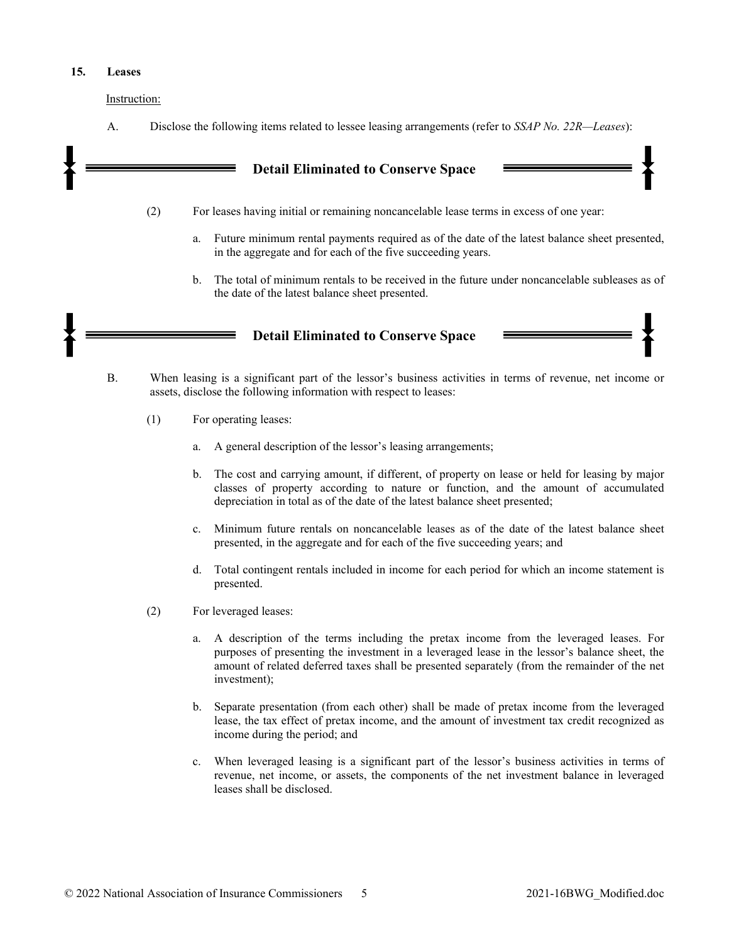#### **15. Leases**

Instruction:

A. Disclose the following items related to lessee leasing arrangements (refer to *SSAP No. 22R—Leases*):

# **Detail Eliminated to Conserve Space**

- (2) For leases having initial or remaining noncancelable lease terms in excess of one year:
	- a. Future minimum rental payments required as of the date of the latest balance sheet presented, in the aggregate and for each of the five succeeding years.
	- b. The total of minimum rentals to be received in the future under noncancelable subleases as of the date of the latest balance sheet presented.



- B. When leasing is a significant part of the lessor's business activities in terms of revenue, net income or assets, disclose the following information with respect to leases:
	- (1) For operating leases:
		- a. A general description of the lessor's leasing arrangements;
		- b. The cost and carrying amount, if different, of property on lease or held for leasing by major classes of property according to nature or function, and the amount of accumulated depreciation in total as of the date of the latest balance sheet presented;
		- c. Minimum future rentals on noncancelable leases as of the date of the latest balance sheet presented, in the aggregate and for each of the five succeeding years; and
		- d. Total contingent rentals included in income for each period for which an income statement is presented.
	- (2) For leveraged leases:
		- a. A description of the terms including the pretax income from the leveraged leases. For purposes of presenting the investment in a leveraged lease in the lessor's balance sheet, the amount of related deferred taxes shall be presented separately (from the remainder of the net investment);
		- b. Separate presentation (from each other) shall be made of pretax income from the leveraged lease, the tax effect of pretax income, and the amount of investment tax credit recognized as income during the period; and
		- c. When leveraged leasing is a significant part of the lessor's business activities in terms of revenue, net income, or assets, the components of the net investment balance in leveraged leases shall be disclosed.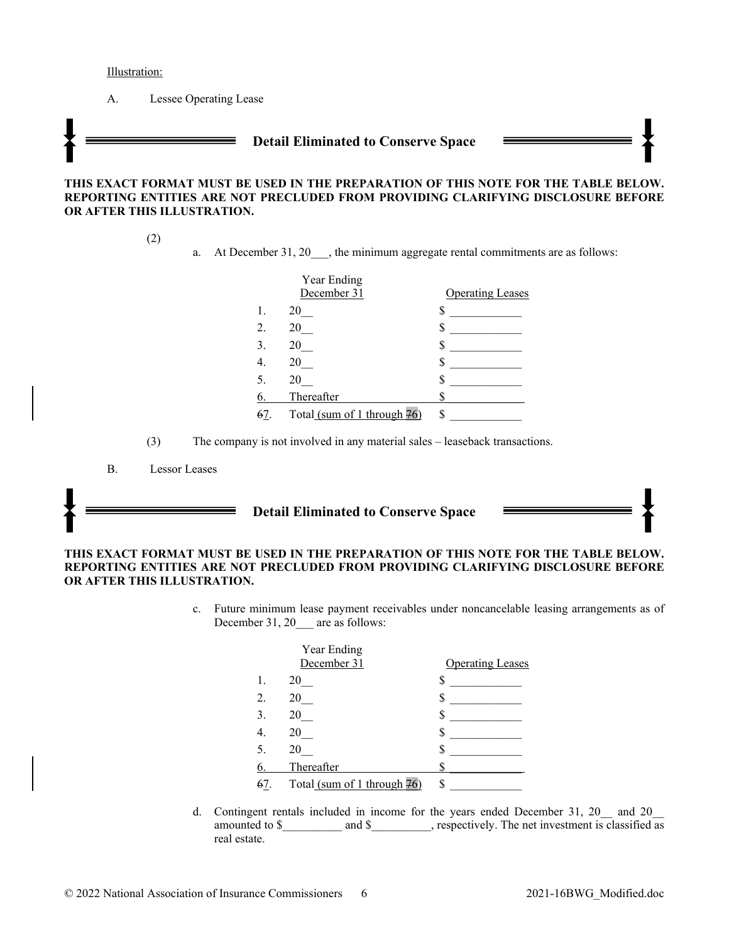Illustration:

A. Lessee Operating Lease

# **Detail Eliminated to Conserve Space**

#### **THIS EXACT FORMAT MUST BE USED IN THE PREPARATION OF THIS NOTE FOR THE TABLE BELOW. REPORTING ENTITIES ARE NOT PRECLUDED FROM PROVIDING CLARIFYING DISCLOSURE BEFORE OR AFTER THIS ILLUSTRATION.**

(2)

a. At December 31, 20  $\ldots$ , the minimum aggregate rental commitments are as follows:

|    | Year Ending                 |                         |
|----|-----------------------------|-------------------------|
|    | December 31                 | <b>Operating Leases</b> |
| 1. | 20                          |                         |
| 2. | 20                          |                         |
| 3. | 20                          |                         |
|    | 20                          |                         |
|    | 20                          |                         |
|    | Thereafter                  |                         |
|    | Total (sum of 1 through 76) |                         |

<sup>(3)</sup> The company is not involved in any material sales – leaseback transactions.

# **Detail Eliminated to Conserve Space**

#### **THIS EXACT FORMAT MUST BE USED IN THE PREPARATION OF THIS NOTE FOR THE TABLE BELOW. REPORTING ENTITIES ARE NOT PRECLUDED FROM PROVIDING CLARIFYING DISCLOSURE BEFORE OR AFTER THIS ILLUSTRATION.**

c. Future minimum lease payment receivables under noncancelable leasing arrangements as of December 31, 20 are as follows:

|    | Year Ending                 |                         |
|----|-----------------------------|-------------------------|
|    | December 31                 | <b>Operating Leases</b> |
|    | 20                          |                         |
| 2. | 20                          |                         |
| 3. | 20                          |                         |
|    | 20                          |                         |
| 5. | 20                          |                         |
|    | Thereafter                  |                         |
| 67 | Total (sum of 1 through 76) |                         |

d. Contingent rentals included in income for the years ended December 31, 20\_\_ and 20\_\_ amounted to \$ and \$ and \$ , respectively. The net investment is classified as real estate.

B. Lessor Leases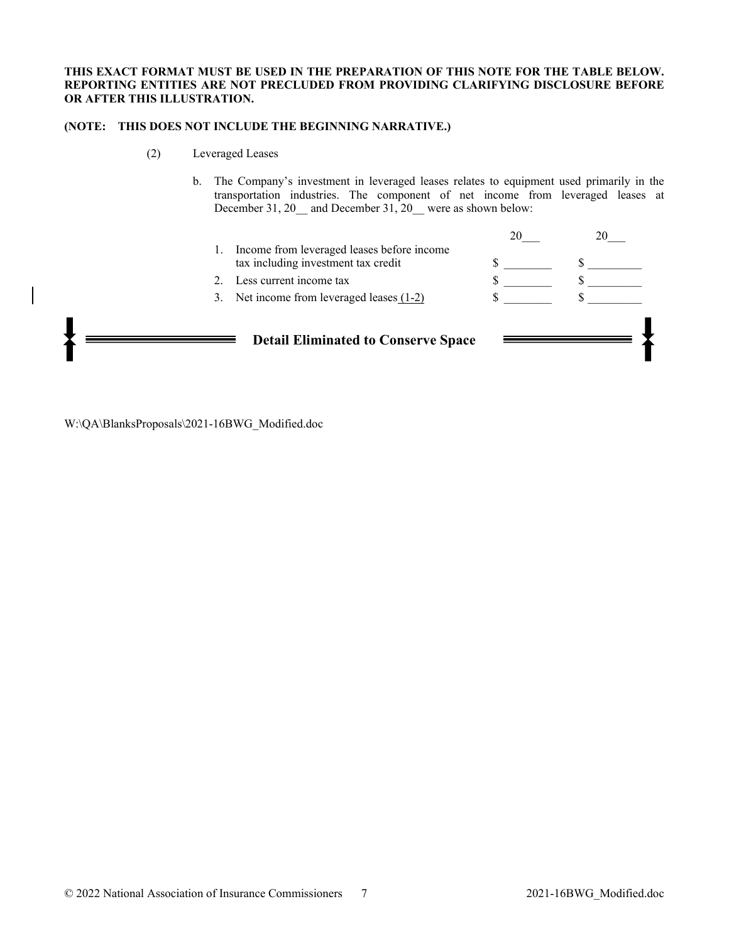#### **THIS EXACT FORMAT MUST BE USED IN THE PREPARATION OF THIS NOTE FOR THE TABLE BELOW. REPORTING ENTITIES ARE NOT PRECLUDED FROM PROVIDING CLARIFYING DISCLOSURE BEFORE OR AFTER THIS ILLUSTRATION.**

#### **(NOTE: THIS DOES NOT INCLUDE THE BEGINNING NARRATIVE.)**

- (2) Leveraged Leases
	- b. The Company's investment in leveraged leases relates to equipment used primarily in the transportation industries. The component of net income from leveraged leases at December 31, 20<sub>\_</sub> and December 31, 20<sub>\_</sub> were as shown below:

|                                            |                                                                                   | 20 |  |  |  |
|--------------------------------------------|-----------------------------------------------------------------------------------|----|--|--|--|
| 1.                                         | Income from leveraged leases before income<br>tax including investment tax credit |    |  |  |  |
|                                            | Less current income tax                                                           |    |  |  |  |
|                                            | 3. Net income from leveraged leases $(1-2)$                                       |    |  |  |  |
|                                            |                                                                                   |    |  |  |  |
| <b>Detail Eliminated to Conserve Space</b> |                                                                                   |    |  |  |  |
|                                            |                                                                                   |    |  |  |  |
|                                            |                                                                                   |    |  |  |  |

W:\QA\BlanksProposals\2021-16BWG\_Modified.doc